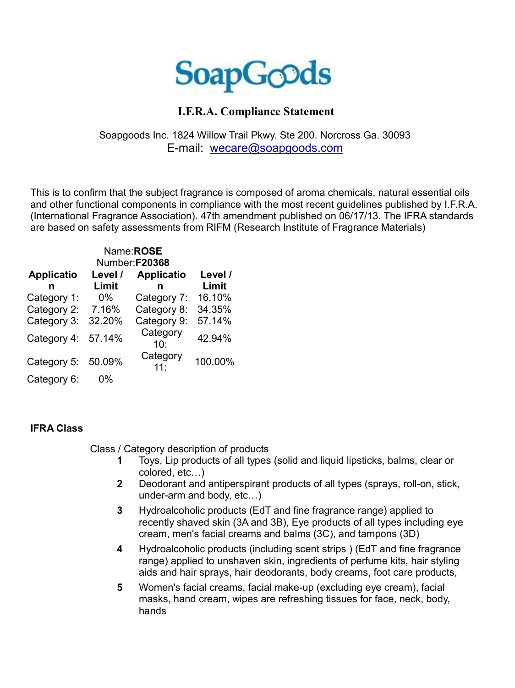

## **I.F.R.A. Compliance Statement**

## Soapgoods Inc. 1824 Willow Trail Pkwy. Ste 200. Norcross Ga. 30093 E-mail: [wecare@soapgoods.com](mailto:wecare@soapgoods.com)

This is to confirm that the subject fragrance is composed of aroma chemicals, natural essential oils and other functional components in compliance with the most recent guidelines published by I.F.R.A. (International Fragrance Association). 47th amendment published on 06/17/13. The IFRA standards are based on safety assessments from RIFM (Research Institute of Fragrance Materials)

|                   |         | Name:ROSE         |         |
|-------------------|---------|-------------------|---------|
| Number:F20368     |         |                   |         |
| <b>Applicatio</b> | Level / | <b>Applicatio</b> | Level / |
| n                 | Limit   | n                 | Limit   |
| Category 1:       | $0\%$   | Category 7:       | 16.10%  |
| Category 2:       | 7.16%   | Category 8:       | 34.35%  |
| Category 3:       | 32.20%  | Category 9:       | 57.14%  |
| Category 4:       | 57.14%  | Category<br>10:   | 42.94%  |
| Category 5:       | 50.09%  | Category<br>11:   | 100.00% |
| Category 6:       | $0\%$   |                   |         |

## **IFRA Class**

Class / Category description of products

- **1** Toys, Lip products of all types (solid and liquid lipsticks, balms, clear or colored, etc…)
- **2** Deodorant and antiperspirant products of all types (sprays, roll-on, stick, under-arm and body, etc…)
- **3** Hydroalcoholic products (EdT and fine fragrance range) applied to recently shaved skin (3A and 3B), Eye products of all types including eye cream, men's facial creams and balms (3C), and tampons (3D)
- **4** Hydroalcoholic products (including scent strips ) (EdT and fine fragrance range) applied to unshaven skin, ingredients of perfume kits, hair styling aids and hair sprays, hair deodorants, body creams, foot care products,
- **5** Women's facial creams, facial make-up (excluding eye cream), facial masks, hand cream, wipes are refreshing tissues for face, neck, body, hands